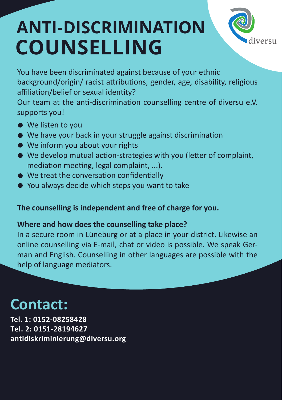# **ANTI-DISCRIMINATION COUNSELLING**



You have been discriminated against because of your ethnic background/origin/ racist attributions, gender, age, disability, religious affiliation/belief or sexual identity?

Our team at the anti-discrimination counselling centre of diversu e.V. supports you!

- We listen to you
- We have your back in your struggle against discrimination
- We inform you about your rights
- We develop mutual action-strategies with you (letter of complaint, mediation meeting, legal complaint, ...).
- We treat the conversation confidentially
- You always decide which steps you want to take

#### **The counselling is independent and free of charge for you.**

#### **Where and how does the counselling take place?**

In a secure room in Lüneburg or at a place in your district. Likewise an online counselling via E-mail, chat or video is possible. We speak German and English. Counselling in other languages are possible with the help of language mediators.

## **Contact:**

**Tel. 1: 0152-08258428 Tel. 2: 0151-28194627 antidiskriminierung@diversu.org**